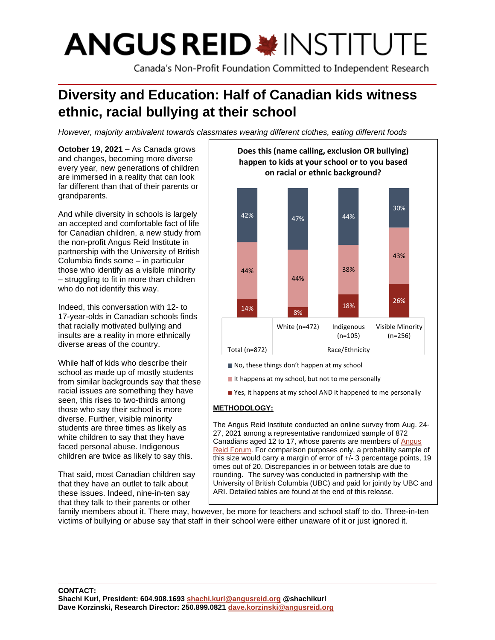# **ANGUS REID \* INSTITUTE**

Canada's Non-Profit Foundation Committed to Independent Research

# **Diversity and Education: Half of Canadian kids witness ethnic, racial bullying at their school**

*However, majority ambivalent towards classmates wearing different clothes, eating different foods*

**October 19, 2021 –** As Canada grows and changes, becoming more diverse every year, new generations of children are immersed in a reality that can look far different than that of their parents or grandparents.

And while diversity in schools is largely an accepted and comfortable fact of life for Canadian children, a new study from the non-profit Angus Reid Institute in partnership with the University of British Columbia finds some – in particular those who identify as a visible minority – struggling to fit in more than children who do not identify this way.

Indeed, this conversation with 12- to 17-year-olds in Canadian schools finds that racially motivated bullying and insults are a reality in more ethnically diverse areas of the country.

While half of kids who describe their school as made up of mostly students from similar backgrounds say that these racial issues are something they have seen, this rises to two-thirds among those who say their school is more diverse. Further, visible minority students are three times as likely as white children to say that they have faced personal abuse. Indigenous children are twice as likely to say this.

That said, most Canadian children say that they have an outlet to talk about these issues. Indeed, nine-in-ten say that they talk to their parents or other



- No, these things don't happen at my school
- $\blacksquare$  It happens at my school, but not to me personally
- Yes, it happens at my school AND it happened to me personally

# **METHODOLOGY:**

The Angus Reid Institute conducted an online survey from Aug. 24- 27, 2021 among a representative randomized sample of 872 Canadians aged 12 to 17, whose parents are members of [Angus](http://www.angusreidforum.com/) Reid Forum. For comparison purposes only, a probability sample of this size would carry a margin of error of +/- 3 percentage points, 19 times out of 20. Discrepancies in or between totals are due to rounding. The survey was conducted in partnership with the University of British Columbia (UBC) and paid for jointly by UBC and ARI. Detailed tables are found at the end of this release.

family members about it. There may, however, be more for teachers and school staff to do. Three-in-ten victims of bullying or abuse say that staff in their school were either unaware of it or just ignored it.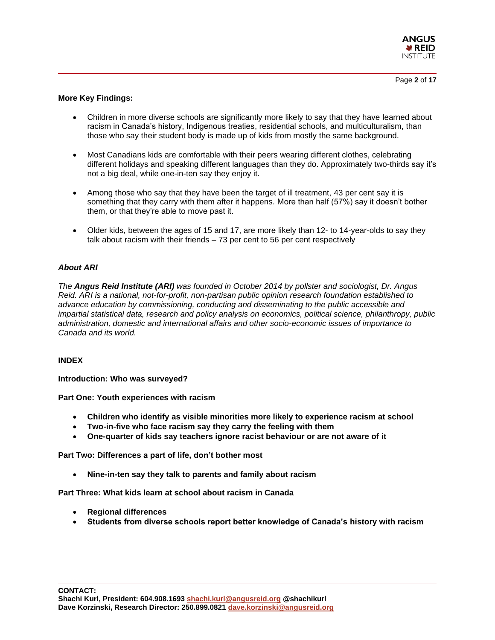

#### **More Key Findings:**

- Children in more diverse schools are significantly more likely to say that they have learned about racism in Canada's history, Indigenous treaties, residential schools, and multiculturalism, than those who say their student body is made up of kids from mostly the same background.
- Most Canadians kids are comfortable with their peers wearing different clothes, celebrating different holidays and speaking different languages than they do. Approximately two-thirds say it's not a big deal, while one-in-ten say they enjoy it.
- Among those who say that they have been the target of ill treatment, 43 per cent say it is something that they carry with them after it happens. More than half (57%) say it doesn't bother them, or that they're able to move past it.
- Older kids, between the ages of 15 and 17, are more likely than 12- to 14-year-olds to say they talk about racism with their friends – 73 per cent to 56 per cent respectively

#### *About ARI*

*The Angus Reid Institute (ARI) was founded in October 2014 by pollster and sociologist, Dr. Angus Reid. ARI is a national, not-for-profit, non-partisan public opinion research foundation established to advance education by commissioning, conducting and disseminating to the public accessible and impartial statistical data, research and policy analysis on economics, political science, philanthropy, public administration, domestic and international affairs and other socio-economic issues of importance to Canada and its world.*

#### **INDEX**

**Introduction: Who was surveyed?**

**Part One: Youth experiences with racism**

- **Children who identify as visible minorities more likely to experience racism at school**
- **Two-in-five who face racism say they carry the feeling with them**
- **One-quarter of kids say teachers ignore racist behaviour or are not aware of it**

**Part Two: Differences a part of life, don't bother most**

• **Nine-in-ten say they talk to parents and family about racism**

**Part Three: What kids learn at school about racism in Canada**

- **Regional differences**
- **Students from diverse schools report better knowledge of Canada's history with racism**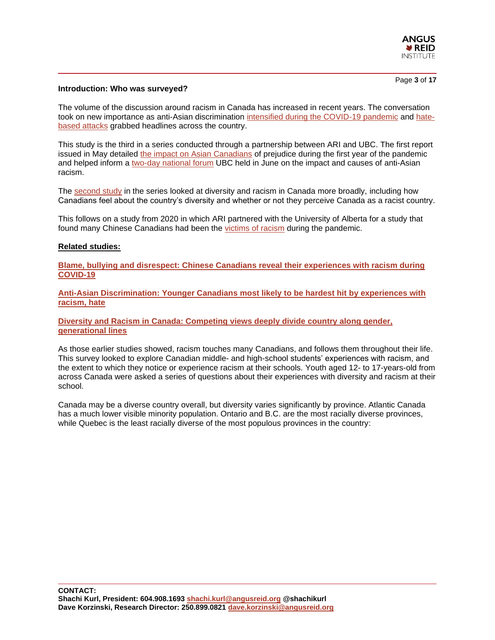

Page **3** of **17**

#### **Introduction: Who was surveyed?**

The volume of the discussion around racism in Canada has increased in recent years. The conversation took on new importance as anti-Asian discrimination [intensified during the COVID-19 pandemic](https://angusreid.org/racism-chinese-canadians-covid19/) and [hate](https://lfpress.com/news/local-news/terrorism-charges-against-accused-in-alleged-london-hate-attack-court-hears)[based attacks](https://lfpress.com/news/local-news/terrorism-charges-against-accused-in-alleged-london-hate-attack-court-hears) grabbed headlines across the country.

This study is the third in a series conducted through a partnership between ARI and UBC. The first report issued in May detailed the impact on [Asian Canadians](https://angusreid.org/anti-asian-discrimination/) of prejudice during the first year of the pandemic and helped inform a [two-day national forum](https://events.ubc.ca/national-forum-on-anti-asian-racism/) UBC held in June on the impact and causes of anti-Asian racism.

The [second study](https://angusreid.org/diversity-racism-canada/) in the series looked at diversity and racism in Canada more broadly, including how Canadians feel about the country's diversity and whether or not they perceive Canada as a racist country.

This follows on a study from 2020 in which ARI partnered with the University of Alberta for a study that found many Chinese Canadians had been the [victims of racism](https://angusreid.org/racism-chinese-canadians-covid19/) during the pandemic.

#### **Related studies:**

**[Blame, bullying and disrespect: Chinese Canadians reveal their experiences with racism during](https://angusreid.org/racism-chinese-canadians-covid19/)  [COVID-19](https://angusreid.org/racism-chinese-canadians-covid19/)**

**[Anti-Asian Discrimination: Younger Canadians most likely to be hardest hit by experiences with](https://angusreid.org/anti-asian-discrimination/)  [racism, hate](https://angusreid.org/anti-asian-discrimination/)**

**[Diversity and Racism in Canada: Competing views deeply divide country along gender,](https://angusreid.org/diversity-racism-canada/)  [generational lines](https://angusreid.org/diversity-racism-canada/)**

As those earlier studies showed, racism touches many Canadians, and follows them throughout their life. This survey looked to explore Canadian middle- and high-school students' experiences with racism, and the extent to which they notice or experience racism at their schools. Youth aged 12- to 17-years-old from across Canada were asked a series of questions about their experiences with diversity and racism at their school.

Canada may be a diverse country overall, but diversity varies significantly by province. Atlantic Canada has a much lower visible minority population. Ontario and B.C. are the most racially diverse provinces, while Quebec is the least racially diverse of the most populous provinces in the country: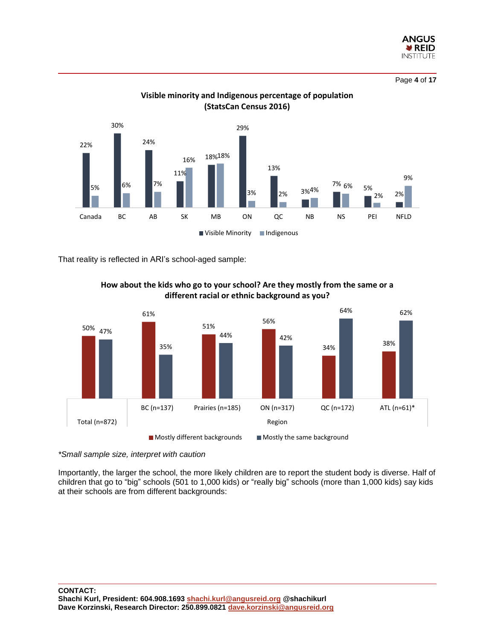

Page **4** of **17**



**Visible minority and Indigenous percentage of population (StatsCan Census 2016)**

That reality is reflected in ARI's school-aged sample:



**How about the kids who go to your school? Are they mostly from the same or a different racial or ethnic background as you?**

*\*Small sample size, interpret with caution*

Importantly, the larger the school, the more likely children are to report the student body is diverse. Half of children that go to "big" schools (501 to 1,000 kids) or "really big" schools (more than 1,000 kids) say kids at their schools are from different backgrounds: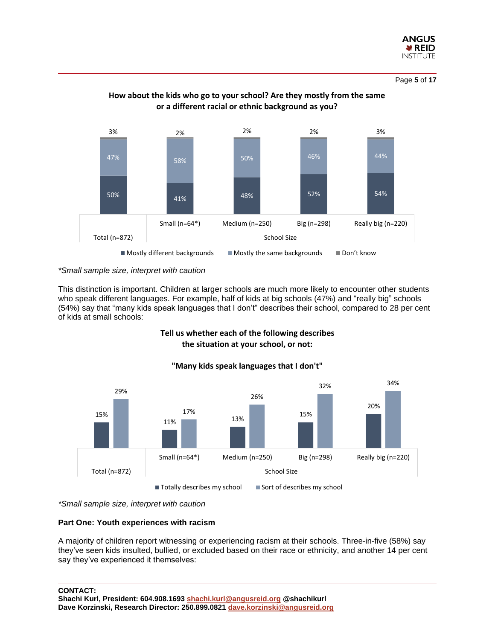

Page **5** of **17**



# **How about the kids who go to your school? Are they mostly from the same or a different racial or ethnic background as you?**

*\*Small sample size, interpret with caution*

This distinction is important. Children at larger schools are much more likely to encounter other students who speak different languages. For example, half of kids at big schools (47%) and "really big" schools (54%) say that "many kids speak languages that I don't" describes their school, compared to 28 per cent of kids at small schools:

# **Tell us whether each of the following describes the situation at your school, or not:**



# **"Many kids speak languages that I don't"**

*\*Small sample size, interpret with caution*

#### **Part One: Youth experiences with racism**

A majority of children report witnessing or experiencing racism at their schools. Three-in-five (58%) say they've seen kids insulted, bullied, or excluded based on their race or ethnicity, and another 14 per cent say they've experienced it themselves:

**CONTACT:**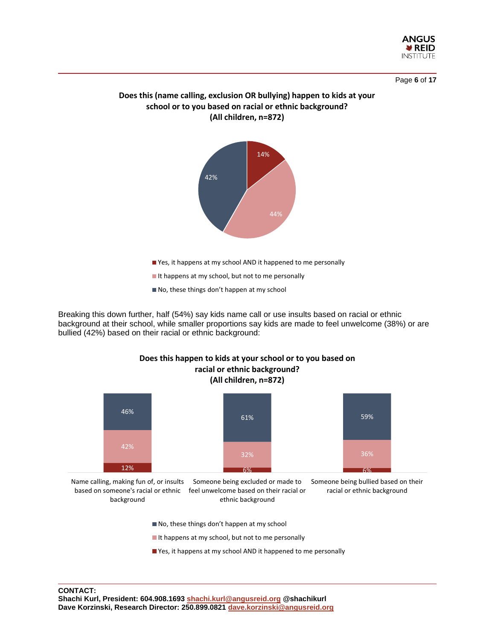

Page **6** of **17**

# **Does this (name calling, exclusion OR bullying) happen to kids at your school or to you based on racial or ethnic background? (All children, n=872)**



Yes, it happens at my school AND it happened to me personally

It happens at my school, but not to me personally

No, these things don't happen at my school

Breaking this down further, half (54%) say kids name call or use insults based on racial or ethnic background at their school, while smaller proportions say kids are made to feel unwelcome (38%) or are bullied (42%) based on their racial or ethnic background:

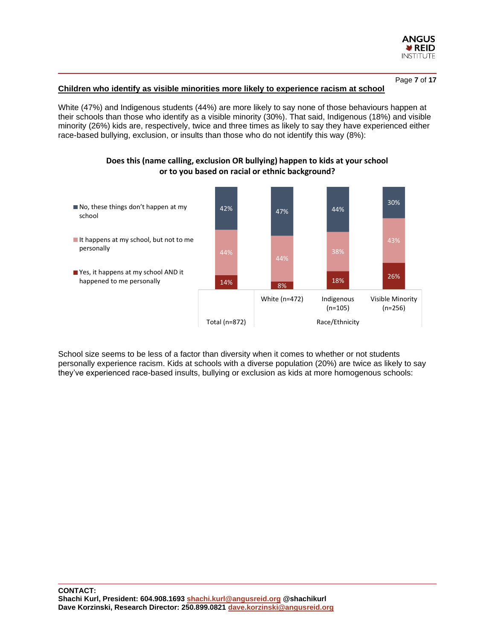

Page **7** of **17**

#### **Children who identify as visible minorities more likely to experience racism at school**

White (47%) and Indigenous students (44%) are more likely to say none of those behaviours happen at their schools than those who identify as a visible minority (30%). That said, Indigenous (18%) and visible minority (26%) kids are, respectively, twice and three times as likely to say they have experienced either race-based bullying, exclusion, or insults than those who do not identify this way (8%):



# **Does this (name calling, exclusion OR bullying) happen to kids at your school or to you based on racial or ethnic background?**

School size seems to be less of a factor than diversity when it comes to whether or not students personally experience racism. Kids at schools with a diverse population (20%) are twice as likely to say they've experienced race-based insults, bullying or exclusion as kids at more homogenous schools: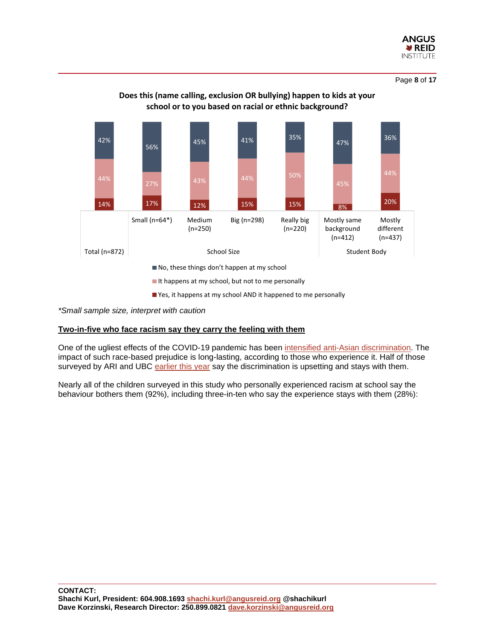

Page **8** of **17**



# **Does this (name calling, exclusion OR bullying) happen to kids at your school or to you based on racial or ethnic background?**

 $\blacksquare$  It happens at my school, but not to me personally

Yes, it happens at my school AND it happened to me personally

*\*Small sample size, interpret with caution*

#### **Two-in-five who face racism say they carry the feeling with them**

One of the ugliest effects of the COVID-19 pandemic has been [intensified anti-Asian discrimination.](https://www.cbc.ca/news/canada/british-columbia/covid-19-has-put-a-harsh-spotlight-on-the-anti-asian-racism-that-has-always-existed-in-canada-1.5572674) The impact of such race-based prejudice is long-lasting, according to those who experience it. Half of those surveyed by ARI and UBC [earlier this year](https://angusreid.org/anti-asian-discrimination/) say the discrimination is upsetting and stays with them.

Nearly all of the children surveyed in this study who personally experienced racism at school say the behaviour bothers them (92%), including three-in-ten who say the experience stays with them (28%):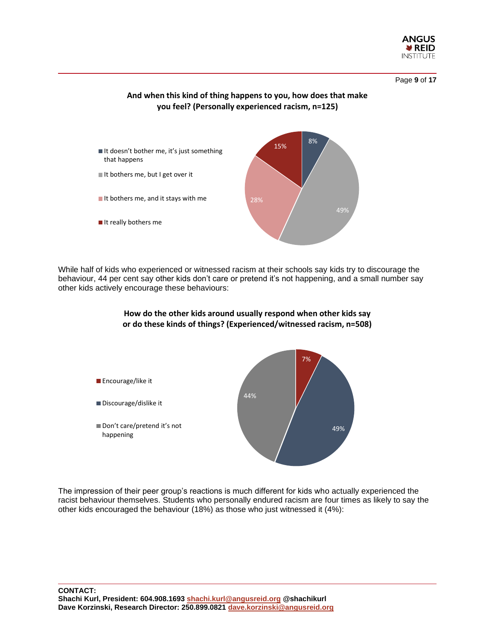

Page **9** of **17**

# **And when this kind of thing happens to you, how does that make you feel? (Personally experienced racism, n=125)**



While half of kids who experienced or witnessed racism at their schools say kids try to discourage the behaviour, 44 per cent say other kids don't care or pretend it's not happening, and a small number say other kids actively encourage these behaviours:



The impression of their peer group's reactions is much different for kids who actually experienced the racist behaviour themselves. Students who personally endured racism are four times as likely to say the other kids encouraged the behaviour (18%) as those who just witnessed it (4%):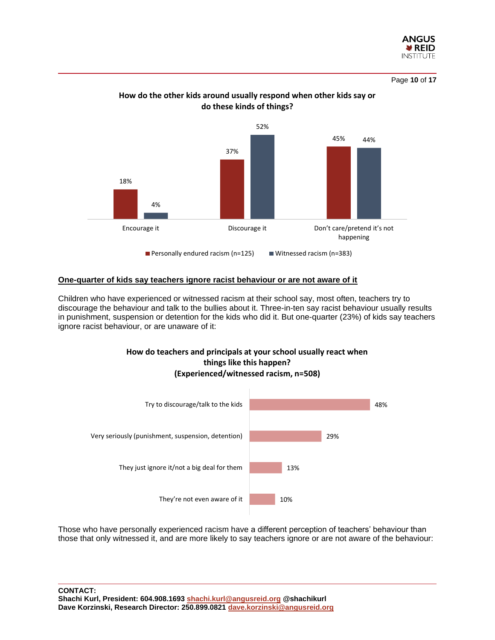

Page **10** of **17**



# **How do the other kids around usually respond when other kids say or do these kinds of things?**

#### **One-quarter of kids say teachers ignore racist behaviour or are not aware of it**

Children who have experienced or witnessed racism at their school say, most often, teachers try to discourage the behaviour and talk to the bullies about it. Three-in-ten say racist behaviour usually results in punishment, suspension or detention for the kids who did it. But one-quarter (23%) of kids say teachers ignore racist behaviour, or are unaware of it:

# **How do teachers and principals at your school usually react when things like this happen? (Experienced/witnessed racism, n=508)**



Those who have personally experienced racism have a different perception of teachers' behaviour than those that only witnessed it, and are more likely to say teachers ignore or are not aware of the behaviour: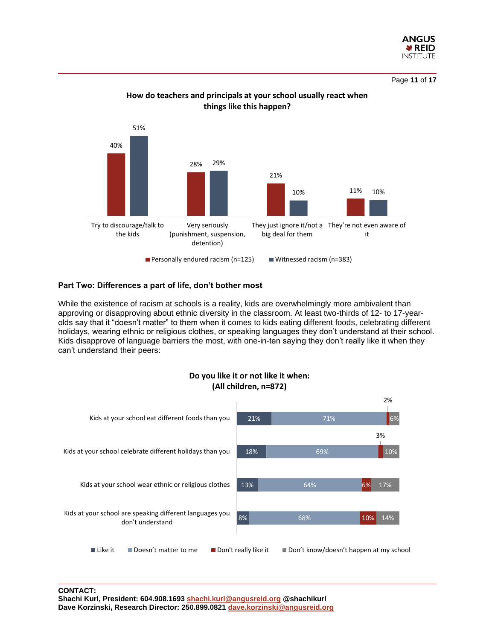

Page **11** of **17**



# **How do teachers and principals at your school usually react when things like this happen?**

#### **Part Two: Differences a part of life, don't bother most**

While the existence of racism at schools is a reality, kids are overwhelmingly more ambivalent than approving or disapproving about ethnic diversity in the classroom. At least two-thirds of 12- to 17-yearolds say that it "doesn't matter" to them when it comes to kids eating different foods, celebrating different holidays, wearing ethnic or religious clothes, or speaking languages they don't understand at their school. Kids disapprove of language barriers the most, with one-in-ten saying they don't really like it when they can't understand their peers:

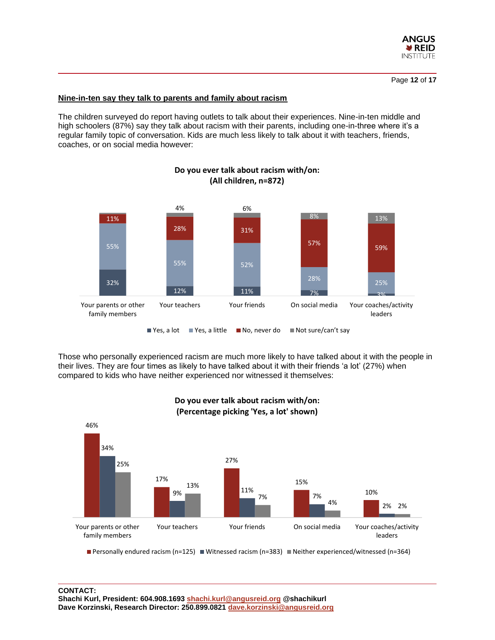

#### **Nine-in-ten say they talk to parents and family about racism**

The children surveyed do report having outlets to talk about their experiences. Nine-in-ten middle and high schoolers (87%) say they talk about racism with their parents, including one-in-three where it's a regular family topic of conversation. Kids are much less likely to talk about it with teachers, friends, coaches, or on social media however:



# **Do you ever talk about racism with/on: (All children, n=872)**

Those who personally experienced racism are much more likely to have talked about it with the people in their lives. They are four times as likely to have talked about it with their friends 'a lot' (27%) when compared to kids who have neither experienced nor witnessed it themselves:



# **Do you ever talk about racism with/on: (Percentage picking 'Yes, a lot' shown)**

Personally endured racism (n=125) Witnessed racism (n=383) Neither experienced/witnessed (n=364)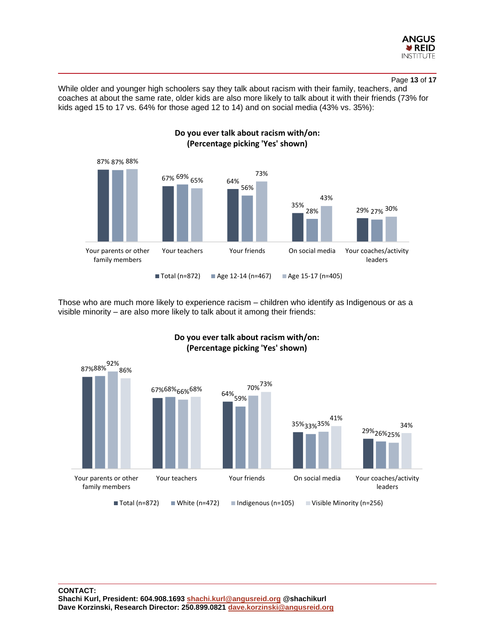

#### Page **13** of **17**

While older and younger high schoolers say they talk about racism with their family, teachers, and coaches at about the same rate, older kids are also more likely to talk about it with their friends (73% for kids aged 15 to 17 vs. 64% for those aged 12 to 14) and on social media (43% vs. 35%):



Those who are much more likely to experience racism – children who identify as Indigenous or as a visible minority – are also more likely to talk about it among their friends:



# **Do you ever talk about racism with/on: (Percentage picking 'Yes' shown)**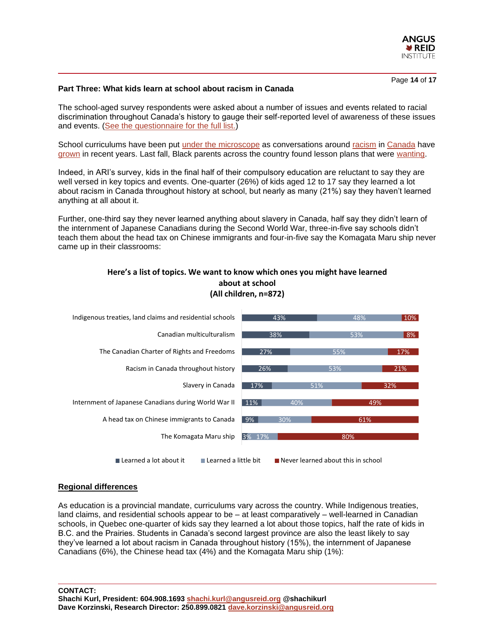

Page **14** of **17**

#### **Part Three: What kids learn at school about racism in Canada**

The school-aged survey respondents were asked about a number of issues and events related to racial discrimination throughout Canada's history to gauge their self-reported level of awareness of these issues and events. [\(See the questionnaire for the full list.\)](https://angusreid.org/wp-content/uploads/2021/10/2021.10.19_canada_school_kids_racism_diversity.pdf)

School curriculums have been put [under the microscope](https://www.cbc.ca/news/opinion/opinion-high-shool-history-curriculum-racism-1.5658622) as conversations around [racism](https://www.ctvnews.ca/canada/in-their-words-canadians-experiences-of-racism-1.4974360) in [Canada](https://www.ctvnews.ca/canada/lucki-acknowledges-systemic-racism-in-rcmp-1.4982165) have [grown](https://www.cbc.ca/news/politics/trudeau-anti-black-racism-1.5593395) in recent years. Last fall, Black parents across the country found lesson plans that were [wanting.](https://www.cbc.ca/news/canada/black-canadians-school-curriculum-1.5706510)

Indeed, in ARI's survey, kids in the final half of their compulsory education are reluctant to say they are well versed in key topics and events. One-quarter (26%) of kids aged 12 to 17 say they learned a lot about racism in Canada throughout history at school, but nearly as many (21%) say they haven't learned anything at all about it.

Further, one-third say they never learned anything about slavery in Canada, half say they didn't learn of the internment of Japanese Canadians during the Second World War, three-in-five say schools didn't teach them about the head tax on Chinese immigrants and four-in-five say the Komagata Maru ship never came up in their classrooms:

### **Here's a list of topics. We want to know which ones you might have learned about at school (All children, n=872)**



#### **Regional differences**

As education is a provincial mandate, curriculums vary across the country. While Indigenous treaties, land claims, and residential schools appear to be – at least comparatively – well-learned in Canadian schools, in Quebec one-quarter of kids say they learned a lot about those topics, half the rate of kids in B.C. and the Prairies. Students in Canada's second largest province are also the least likely to say they've learned a lot about racism in Canada throughout history (15%), the internment of Japanese Canadians (6%), the Chinese head tax (4%) and the Komagata Maru ship (1%):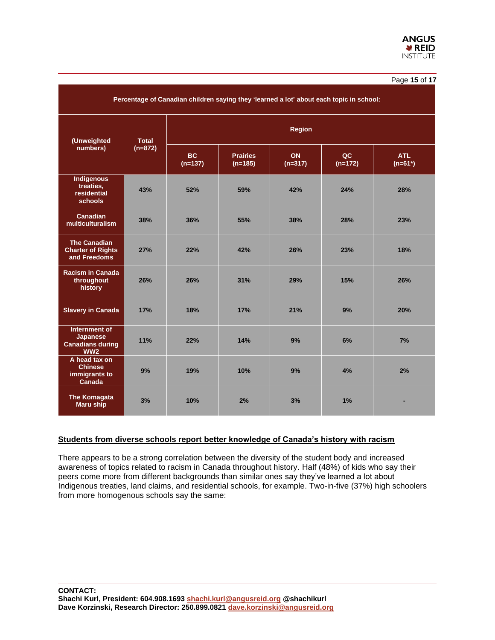#### Page **15** of **17**

| Percentage of Canadian children saying they 'learned a lot' about each topic in school: |                           |                 |                              |                        |                 |                  |
|-----------------------------------------------------------------------------------------|---------------------------|-----------------|------------------------------|------------------------|-----------------|------------------|
| (Unweighted<br>numbers)                                                                 | <b>Total</b><br>$(n=872)$ | <b>Region</b>   |                              |                        |                 |                  |
|                                                                                         |                           | BC<br>$(n=137)$ | <b>Prairies</b><br>$(n=185)$ | <b>ON</b><br>$(n=317)$ | QC<br>$(n=172)$ | ATL<br>$(n=61*)$ |
| <b>Indigenous</b><br>treaties,<br>residential<br>schools                                | 43%                       | 52%             | 59%                          | 42%                    | 24%             | 28%              |
| <b>Canadian</b><br>multiculturalism                                                     | 38%                       | 36%             | 55%                          | 38%                    | 28%             | 23%              |
| <b>The Canadian</b><br><b>Charter of Rights</b><br>and Freedoms                         | 27%                       | 22%             | 42%                          | 26%                    | 23%             | 18%              |
| <b>Racism in Canada</b><br>throughout<br>history                                        | 26%                       | 26%             | 31%                          | 29%                    | 15%             | 26%              |
| <b>Slavery in Canada</b>                                                                | 17%                       | 18%             | 17%                          | 21%                    | 9%              | 20%              |
| Internment of<br>Japanese<br><b>Canadians during</b><br>WW2                             | 11%                       | 22%             | 14%                          | 9%                     | 6%              | 7%               |
| A head tax on<br><b>Chinese</b><br>immigrants to<br>Canada                              | 9%                        | 19%             | 10%                          | 9%                     | 4%              | 2%               |
| <b>The Komagata</b><br><b>Maru ship</b>                                                 | 3%                        | 10%             | 2%                           | 3%                     | 1%              |                  |

#### **Students from diverse schools report better knowledge of Canada's history with racism**

There appears to be a strong correlation between the diversity of the student body and increased awareness of topics related to racism in Canada throughout history. Half (48%) of kids who say their peers come more from different backgrounds than similar ones say they've learned a lot about Indigenous treaties, land claims, and residential schools, for example. Two-in-five (37%) high schoolers from more homogenous schools say the same: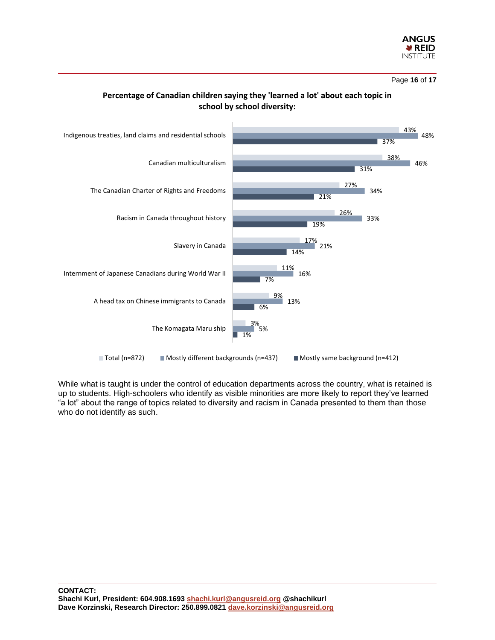

Page **16** of **17**





While what is taught is under the control of education departments across the country, what is retained is up to students. High-schoolers who identify as visible minorities are more likely to report they've learned "a lot" about the range of topics related to diversity and racism in Canada presented to them than those who do not identify as such.